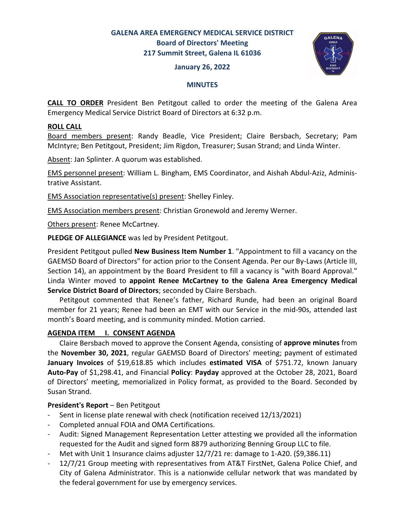# **GALENA AREA EMERGENCY MEDICAL SERVICE DISTRICT Board of Directors' Meeting 217 Summit Street, Galena IL 61036**

#### **January 26, 2022**



#### **MINUTES**

**CALL TO ORDER** President Ben Petitgout called to order the meeting of the Galena Area Emergency Medical Service District Board of Directors at 6:32 p.m.

### **ROLL CALL**

Board members present: Randy Beadle, Vice President; Claire Bersbach, Secretary; Pam McIntyre; Ben Petitgout, President; Jim Rigdon, Treasurer; Susan Strand; and Linda Winter.

Absent: Jan Splinter. A quorum was established.

EMS personnel present: William L. Bingham, EMS Coordinator, and Aishah Abdul-Aziz, Administrative Assistant.

EMS Association representative(s) present: Shelley Finley.

EMS Association members present: Christian Gronewold and Jeremy Werner.

Others present: Renee McCartney.

**PLEDGE OF ALLEGIANCE** was led by President Petitgout.

President Petitgout pulled **New Business Item Number 1**. "Appointment to fill a vacancy on the GAEMSD Board of Directors" for action prior to the Consent Agenda. Per our By-Laws (Article III, Section 14), an appointment by the Board President to fill a vacancy is "with Board Approval." Linda Winter moved to **appoint Renee McCartney to the Galena Area Emergency Medical Service District Board of Directors**; seconded by Claire Bersbach.

 Petitgout commented that Renee's father, Richard Runde, had been an original Board member for 21 years; Renee had been an EMT with our Service in the mid-90s, attended last month's Board meeting, and is community minded. Motion carried.

### **AGENDA ITEM I. CONSENT AGENDA**

 Claire Bersbach moved to approve the Consent Agenda, consisting of **approve minutes** from the **November 30, 2021**, regular GAEMSD Board of Directors' meeting; payment of estimated **January Invoices** of \$19,618.85 which includes **estimated VISA** of \$751.72, known January **Auto-Pay** of \$1,298.41, and Financial **Policy**: **Payday** approved at the October 28, 2021, Board of Directors' meeting, memorialized in Policy format, as provided to the Board. Seconded by Susan Strand.

### **President's Report** – Ben Petitgout

- Sent in license plate renewal with check (notification received 12/13/2021)
- Completed annual FOIA and OMA Certifications.
- Audit: Signed Management Representation Letter attesting we provided all the information requested for the Audit and signed form 8879 authorizing Benning Group LLC to file.
- Met with Unit 1 Insurance claims adjuster 12/7/21 re: damage to 1-A20. (\$9,386.11)
- 12/7/21 Group meeting with representatives from AT&T FirstNet, Galena Police Chief, and City of Galena Administrator. This is a nationwide cellular network that was mandated by the federal government for use by emergency services.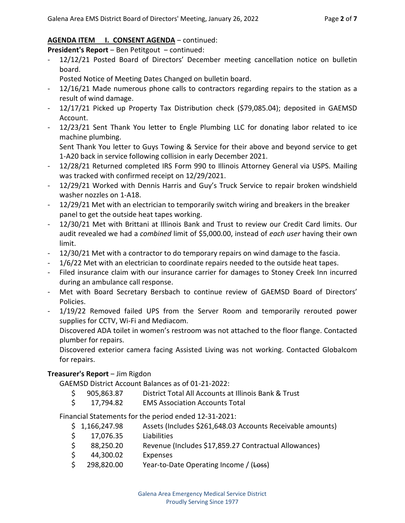## AGENDA ITEM **I. CONSENT AGENDA** - continued:

**President's Report** – Ben Petitgout – continued:

12/12/21 Posted Board of Directors' December meeting cancellation notice on bulletin board.

Posted Notice of Meeting Dates Changed on bulletin board.

- 12/16/21 Made numerous phone calls to contractors regarding repairs to the station as a result of wind damage.
- 12/17/21 Picked up Property Tax Distribution check (\$79,085.04); deposited in GAEMSD Account.
- 12/23/21 Sent Thank You letter to Engle Plumbing LLC for donating labor related to ice machine plumbing.

 Sent Thank You letter to Guys Towing & Service for their above and beyond service to get 1-A20 back in service following collision in early December 2021.

- 12/28/21 Returned completed IRS Form 990 to Illinois Attorney General via USPS. Mailing was tracked with confirmed receipt on 12/29/2021.
- 12/29/21 Worked with Dennis Harris and Guy's Truck Service to repair broken windshield washer nozzles on 1-A18.
- 12/29/21 Met with an electrician to temporarily switch wiring and breakers in the breaker panel to get the outside heat tapes working.
- 12/30/21 Met with Brittani at Illinois Bank and Trust to review our Credit Card limits. Our audit revealed we had a *combined* limit of \$5,000.00, instead of *each user* having their own limit.
- 12/30/21 Met with a contractor to do temporary repairs on wind damage to the fascia.
- 1/6/22 Met with an electrician to coordinate repairs needed to the outside heat tapes.
- Filed insurance claim with our insurance carrier for damages to Stoney Creek Inn incurred during an ambulance call response.
- Met with Board Secretary Bersbach to continue review of GAEMSD Board of Directors' Policies.
- 1/19/22 Removed failed UPS from the Server Room and temporarily rerouted power supplies for CCTV, Wi-Fi and Mediacom.

 Discovered ADA toilet in women's restroom was not attached to the floor flange. Contacted plumber for repairs.

 Discovered exterior camera facing Assisted Living was not working. Contacted Globalcom for repairs.

# **Treasurer's Report** ‒ Jim Rigdon

GAEMSD District Account Balances as of 01-21-2022:

- \$ 905,863.87 District Total All Accounts at Illinois Bank & Trust
- \$ 17,794.82 EMS Association Accounts Total

Financial Statements for the period ended 12-31-2021:

- \$ 1,166,247.98 Assets (Includes \$261,648.03 Accounts Receivable amounts)
- \$ 17,076.35 Liabilities
- \$ 88,250.20 Revenue (Includes \$17,859.27 Contractual Allowances)
- \$ 44,300.02 Expenses
- \$ 298,820.00 Year-to-Date Operating Income / (Loss)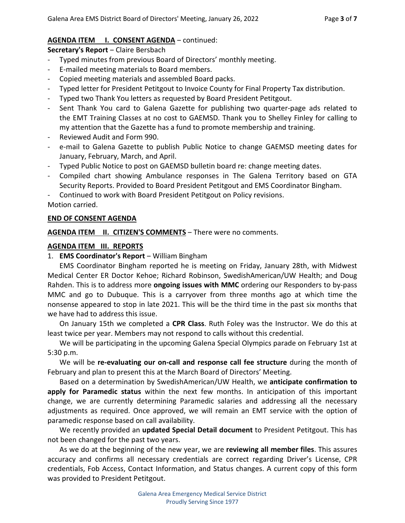# AGENDA ITEM I. CONSENT AGENDA - continued:

**Secretary's Report** - Claire Bersbach

- Typed minutes from previous Board of Directors' monthly meeting.
- E-mailed meeting materials to Board members.
- Copied meeting materials and assembled Board packs.
- Typed letter for President Petitgout to Invoice County for Final Property Tax distribution.
- Typed two Thank You letters as requested by Board President Petitgout.
- Sent Thank You card to Galena Gazette for publishing two quarter-page ads related to the EMT Training Classes at no cost to GAEMSD. Thank you to Shelley Finley for calling to my attention that the Gazette has a fund to promote membership and training.
- Reviewed Audit and Form 990.
- e-mail to Galena Gazette to publish Public Notice to change GAEMSD meeting dates for January, February, March, and April.
- Typed Public Notice to post on GAEMSD bulletin board re: change meeting dates.
- Compiled chart showing Ambulance responses in The Galena Territory based on GTA Security Reports. Provided to Board President Petitgout and EMS Coordinator Bingham.

- Continued to work with Board President Petitgout on Policy revisions.

Motion carried.

# **END OF CONSENT AGENDA**

AGENDA ITEM II. CITIZEN'S COMMENTS - There were no comments.

## **AGENDA ITEM III. REPORTS**

1. **EMS Coordinator's Report** – William Bingham

 EMS Coordinator Bingham reported he is meeting on Friday, January 28th, with Midwest Medical Center ER Doctor Kehoe; Richard Robinson, SwedishAmerican/UW Health; and Doug Rahden. This is to address more **ongoing issues with MMC** ordering our Responders to by-pass MMC and go to Dubuque. This is a carryover from three months ago at which time the nonsense appeared to stop in late 2021. This will be the third time in the past six months that we have had to address this issue.

 On January 15th we completed a **CPR Class**. Ruth Foley was the Instructor. We do this at least twice per year. Members may not respond to calls without this credential.

 We will be participating in the upcoming Galena Special Olympics parade on February 1st at 5:30 p.m.

 We will be **re-evaluating our on-call and response call fee structure** during the month of February and plan to present this at the March Board of Directors' Meeting.

 Based on a determination by SwedishAmerican/UW Health, we **anticipate confirmation to apply for Paramedic status** within the next few months. In anticipation of this important change, we are currently determining Paramedic salaries and addressing all the necessary adjustments as required. Once approved, we will remain an EMT service with the option of paramedic response based on call availability.

 We recently provided an **updated Special Detail document** to President Petitgout. This has not been changed for the past two years.

 As we do at the beginning of the new year, we are **reviewing all member files**. This assures accuracy and confirms all necessary credentials are correct regarding Driver's License, CPR credentials, Fob Access, Contact Information, and Status changes. A current copy of this form was provided to President Petitgout.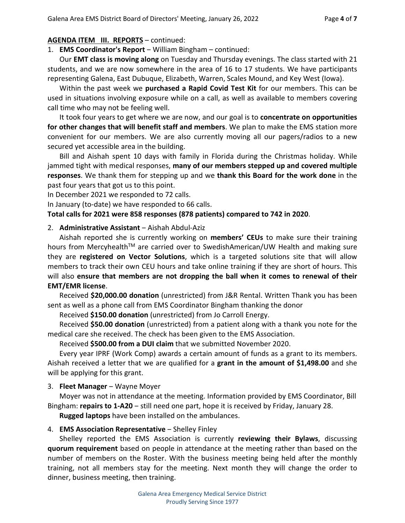### **AGENDA ITEM III. REPORTS** – continued:

1. **EMS Coordinator's Report** – William Bingham – continued:

 Our **EMT class is moving along** on Tuesday and Thursday evenings. The class started with 21 students, and we are now somewhere in the area of 16 to 17 students. We have participants representing Galena, East Dubuque, Elizabeth, Warren, Scales Mound, and Key West (Iowa).

 Within the past week we **purchased a Rapid Covid Test Kit** for our members. This can be used in situations involving exposure while on a call, as well as available to members covering call time who may not be feeling well.

 It took four years to get where we are now, and our goal is to **concentrate on opportunities for other changes that will benefit staff and members**. We plan to make the EMS station more convenient for our members. We are also currently moving all our pagers/radios to a new secured yet accessible area in the building.

 Bill and Aishah spent 10 days with family in Florida during the Christmas holiday. While jammed tight with medical responses, **many of our members stepped up and covered multiple responses**. We thank them for stepping up and we **thank this Board for the work done** in the past four years that got us to this point.

In December 2021 we responded to 72 calls.

In January (to-date) we have responded to 66 calls.

## **Total calls for 2021 were 858 responses (878 patients) compared to 742 in 2020**.

### 2. **Administrative Assistant** ‒ Aishah Abdul-Aziz

Aishah reported she is currently working on **members' CEUs** to make sure their training hours from Mercyhealth™ are carried over to SwedishAmerican/UW Health and making sure they are **registered on Vector Solutions**, which is a targeted solutions site that will allow members to track their own CEU hours and take online training if they are short of hours. This will also **ensure that members are not dropping the ball when it comes to renewal of their EMT/EMR license**.

Received **\$20,000.00 donation** (unrestricted) from J&R Rental. Written Thank you has been sent as well as a phone call from EMS Coordinator Bingham thanking the donor

Received **\$150.00 donation** (unrestricted) from Jo Carroll Energy.

Received **\$50.00 donation** (unrestricted) from a patient along with a thank you note for the medical care she received. The check has been given to the EMS Association.

Received **\$500.00 from a DUI claim** that we submitted November 2020.

Every year IPRF (Work Comp) awards a certain amount of funds as a grant to its members. Aishah received a letter that we are qualified for a **grant in the amount of \$1,498.00** and she will be applying for this grant.

### 3. **Fleet Manager** – Wayne Moyer

Moyer was not in attendance at the meeting. Information provided by EMS Coordinator, Bill Bingham: **repairs to 1-A20** – still need one part, hope it is received by Friday, January 28.

**Rugged laptops** have been installed on the ambulances.

# 4. **EMS Association Representative** – Shelley Finley

 Shelley reported the EMS Association is currently **reviewing their Bylaws**, discussing **quorum requirement** based on people in attendance at the meeting rather than based on the number of members on the Roster. With the business meeting being held after the monthly training, not all members stay for the meeting. Next month they will change the order to dinner, business meeting, then training.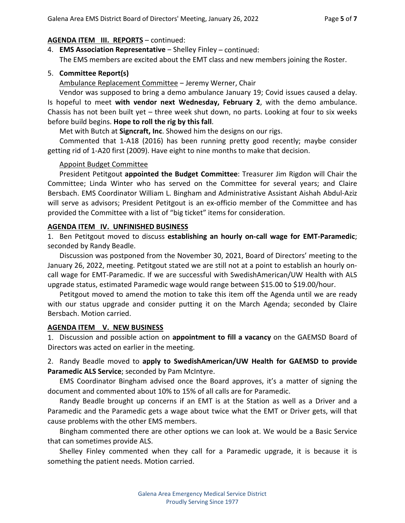## **AGENDA ITEM III. REPORTS** – continued:

- 4. **EMS Association Representative** ‒ Shelley Finley continued: The EMS members are excited about the EMT class and new members joining the Roster.
- 5. **Committee Report(s)**

Ambulance Replacement Committee - Jeremy Werner, Chair

Vendor was supposed to bring a demo ambulance January 19; Covid issues caused a delay. Is hopeful to meet **with vendor next Wednesday, February 2**, with the demo ambulance. Chassis has not been built yet – three week shut down, no parts. Looking at four to six weeks before build begins. **Hope to roll the rig by this fall**.

Met with Butch at **Signcraft, Inc**. Showed him the designs on our rigs.

 Commented that 1-A18 (2016) has been running pretty good recently; maybe consider getting rid of 1-A20 first (2009). Have eight to nine months to make that decision.

### Appoint Budget Committee

President Petitgout **appointed the Budget Committee**: Treasurer Jim Rigdon will Chair the Committee; Linda Winter who has served on the Committee for several years; and Claire Bersbach. EMS Coordinator William L. Bingham and Administrative Assistant Aishah Abdul-Aziz will serve as advisors; President Petitgout is an ex-officio member of the Committee and has provided the Committee with a list of "big ticket" items for consideration.

## **AGENDA ITEM IV. UNFINISHED BUSINESS**

1. Ben Petitgout moved to discuss **establishing an hourly on-call wage for EMT-Paramedic**; seconded by Randy Beadle.

 Discussion was postponed from the November 30, 2021, Board of Directors' meeting to the January 26, 2022, meeting. Petitgout stated we are still not at a point to establish an hourly oncall wage for EMT-Paramedic. If we are successful with SwedishAmerican/UW Health with ALS upgrade status, estimated Paramedic wage would range between \$15.00 to \$19.00/hour.

 Petitgout moved to amend the motion to take this item off the Agenda until we are ready with our status upgrade and consider putting it on the March Agenda; seconded by Claire Bersbach. Motion carried.

### **AGENDA ITEM V. NEW BUSINESS**

1. Discussion and possible action on **appointment to fill a vacancy** on the GAEMSD Board of Directors was acted on earlier in the meeting.

2. Randy Beadle moved to **apply to SwedishAmerican/UW Health for GAEMSD to provide Paramedic ALS Service**; seconded by Pam McIntyre.

 EMS Coordinator Bingham advised once the Board approves, it's a matter of signing the document and commented about 10% to 15% of all calls are for Paramedic.

 Randy Beadle brought up concerns if an EMT is at the Station as well as a Driver and a Paramedic and the Paramedic gets a wage about twice what the EMT or Driver gets, will that cause problems with the other EMS members.

 Bingham commented there are other options we can look at. We would be a Basic Service that can sometimes provide ALS.

 Shelley Finley commented when they call for a Paramedic upgrade, it is because it is something the patient needs. Motion carried.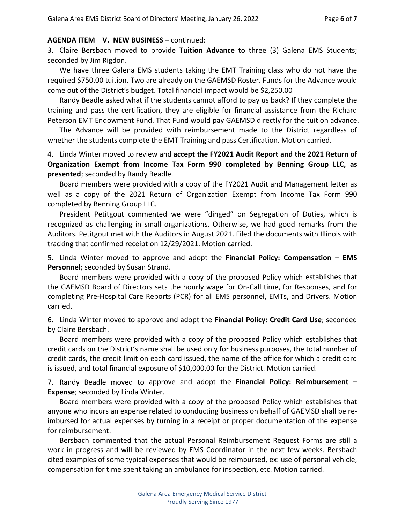#### **AGENDA ITEM V. NEW BUSINESS** – continued:

3. Claire Bersbach moved to provide **Tuition Advance** to three (3) Galena EMS Students; seconded by Jim Rigdon.

 We have three Galena EMS students taking the EMT Training class who do not have the required \$750.00 tuition. Two are already on the GAEMSD Roster. Funds for the Advance would come out of the District's budget. Total financial impact would be \$2,250.00

 Randy Beadle asked what if the students cannot afford to pay us back? If they complete the training and pass the certification, they are eligible for financial assistance from the Richard Peterson EMT Endowment Fund. That Fund would pay GAEMSD directly for the tuition advance.

 The Advance will be provided with reimbursement made to the District regardless of whether the students complete the EMT Training and pass Certification. Motion carried.

4. Linda Winter moved to review and **accept the FY2021 Audit Report and the 2021 Return of Organization Exempt from Income Tax Form 990 completed by Benning Group LLC, as presented**; seconded by Randy Beadle.

 Board members were provided with a copy of the FY2021 Audit and Management letter as well as a copy of the 2021 Return of Organization Exempt from Income Tax Form 990 completed by Benning Group LLC.

 President Petitgout commented we were "dinged" on Segregation of Duties, which is recognized as challenging in small organizations. Otherwise, we had good remarks from the Auditors. Petitgout met with the Auditors in August 2021. Filed the documents with Illinois with tracking that confirmed receipt on 12/29/2021. Motion carried.

5. Linda Winter moved to approve and adopt the **Financial Policy: Compensation ‒ EMS Personnel**; seconded by Susan Strand.

 Board members were provided with a copy of the proposed Policy which establishes that the GAEMSD Board of Directors sets the hourly wage for On-Call time, for Responses, and for completing Pre-Hospital Care Reports (PCR) for all EMS personnel, EMTs, and Drivers. Motion carried.

6. Linda Winter moved to approve and adopt the **Financial Policy: Credit Card Use**; seconded by Claire Bersbach.

 Board members were provided with a copy of the proposed Policy which establishes that credit cards on the District's name shall be used only for business purposes, the total number of credit cards, the credit limit on each card issued, the name of the office for which a credit card is issued, and total financial exposure of \$10,000.00 for the District. Motion carried.

7. Randy Beadle moved to approve and adopt the **Financial Policy: Reimbursement ‒ Expense**; seconded by Linda Winter.

 Board members were provided with a copy of the proposed Policy which establishes that anyone who incurs an expense related to conducting business on behalf of GAEMSD shall be reimbursed for actual expenses by turning in a receipt or proper documentation of the expense for reimbursement.

 Bersbach commented that the actual Personal Reimbursement Request Forms are still a work in progress and will be reviewed by EMS Coordinator in the next few weeks. Bersbach cited examples of some typical expenses that would be reimbursed, ex: use of personal vehicle, compensation for time spent taking an ambulance for inspection, etc. Motion carried.